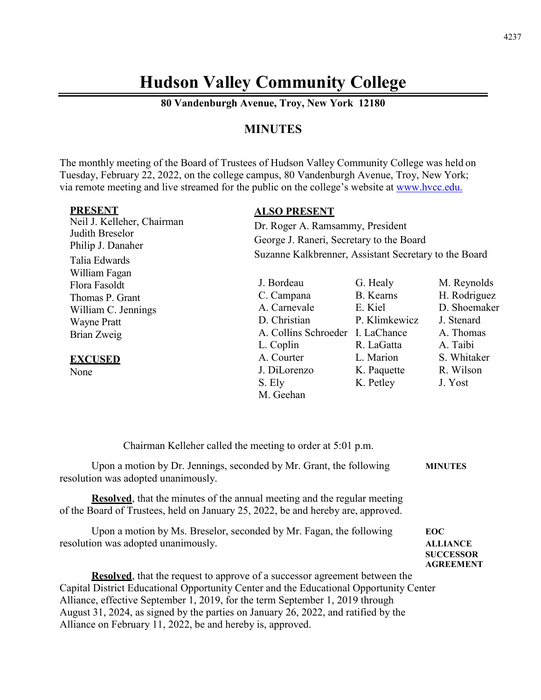# **Hudson Valley Community College**

**80 Vandenburgh Avenue, Troy, New York 12180**

# **MINUTES**

The monthly meeting of the Board of Trustees of Hudson Valley Community College was held on Tuesday, February 22, 2022, on the college campus, 80 Vandenburgh Avenue, Troy, New York; via remote meeting and live streamed for the public on the college's website at [www.hvcc.edu.](http://www.hvcc.edu/)

| <b>PRESENT</b>             | <b>ALSO PRESENT</b>                                   |               |              |
|----------------------------|-------------------------------------------------------|---------------|--------------|
| Neil J. Kelleher, Chairman | Dr. Roger A. Ramsammy, President                      |               |              |
| Judith Breselor            | George J. Raneri, Secretary to the Board              |               |              |
| Philip J. Danaher          |                                                       |               |              |
| Talia Edwards              | Suzanne Kalkbrenner, Assistant Secretary to the Board |               |              |
| William Fagan              |                                                       |               |              |
| Flora Fasoldt              | J. Bordeau                                            | G. Healy      | M. Reynolds  |
| Thomas P. Grant            | C. Campana                                            | B. Kearns     | H. Rodriguez |
| William C. Jennings        | A. Carnevale                                          | E. Kiel       | D. Shoemaker |
| <b>Wayne Pratt</b>         | D. Christian                                          | P. Klimkewicz | J. Stenard   |
| Brian Zweig                | A. Collins Schroeder I. LaChance                      |               | A. Thomas    |
|                            | L. Coplin                                             | R. LaGatta    | A. Taibi     |
| <b>EXCUSED</b>             | A. Courter                                            | L. Marion     | S. Whitaker  |
| None                       | J. DiLorenzo                                          | K. Paquette   | R. Wilson    |
|                            | S. Ely                                                | K. Petley     | J. Yost      |
|                            | M. Geehan                                             |               |              |

Chairman Kelleher called the meeting to order at 5:01 p.m.

| Upon a motion by Dr. Jennings, seconded by Mr. Grant, the following            | <b>MINUTES</b> |
|--------------------------------------------------------------------------------|----------------|
| resolution was adopted unanimously.                                            |                |
| <b>Resolved</b> that the minutes of the annual meeting and the regular meeting |                |

hat the minutes of the annual meeting and the regular meeting of the Board of Trustees, held on January 25, 2022, be and hereby are, approved.

| Upon a motion by Ms. Breselor, seconded by Mr. Fagan, the following | <b>EOC</b>       |
|---------------------------------------------------------------------|------------------|
| resolution was adopted unanimously.                                 | <b>ALLIANCE</b>  |
|                                                                     | <b>SUCCESSOR</b> |
|                                                                     | <b>AGREEMENT</b> |

**Resolved**, that the request to approve of a successor agreement between the Capital District Educational Opportunity Center and the Educational Opportunity Center Alliance, effective September 1, 2019, for the term September 1, 2019 through August 31, 2024, as signed by the parties on January 26, 2022, and ratified by the Alliance on February 11, 2022, be and hereby is, approved.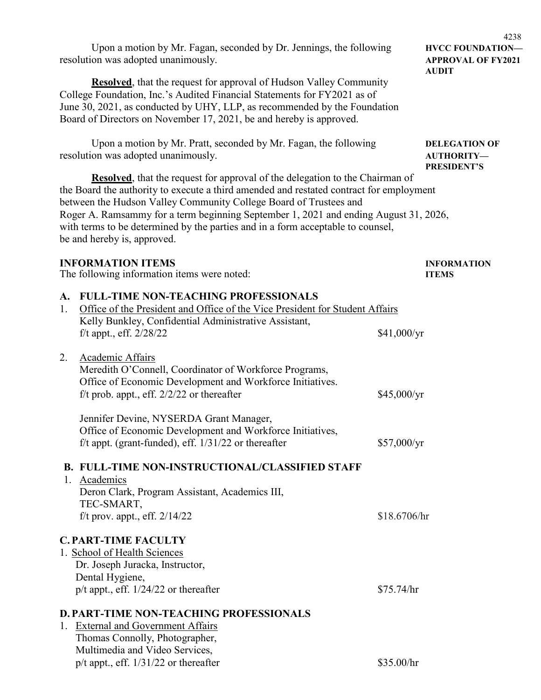Upon a motion by Mr. Fagan, seconded by Dr. Jennings, the following **HVCC FOUNDATION** resolution was adopted unanimously. **APPROVAL OF FY2021**

**Resolved**, that the request for approval of Hudson Valley Community College Foundation, Inc.'s Audited Financial Statements for FY2021 as of June 30, 2021, as conducted by UHY, LLP, as recommended by the Foundation Board of Directors on November 17, 2021, be and hereby is approved.

Upon a motion by Mr. Pratt, seconded by Mr. Fagan, the following **DELEGATION OF** resolution was adopted unanimously. **AUTHORITY—**

**Resolved**, that the request for approval of the delegation to the Chairman of the Board the authority to execute a third amended and restated contract for employment between the Hudson Valley Community College Board of Trustees and Roger A. Ramsammy for a term beginning September 1, 2021 and ending August 31, 2026, with terms to be determined by the parties and in a form acceptable to counsel, be and hereby is, approved.

### **INFORMATION ITEMS INFORMATION**

The following information items were noted: **ITEMS**

#### **A. FULL-TIME NON-TEACHING PROFESSIONALS**

| 1. | Office of the President and Office of the Vice President for Student Affairs |              |
|----|------------------------------------------------------------------------------|--------------|
|    | Kelly Bunkley, Confidential Administrative Assistant,                        |              |
|    | f/t appt., eff. 2/28/22                                                      | \$41,000/yr  |
| 2. | Academic Affairs                                                             |              |
|    | Meredith O'Connell, Coordinator of Workforce Programs,                       |              |
|    | Office of Economic Development and Workforce Initiatives.                    |              |
|    | f/t prob. appt., eff. $2/2/22$ or thereafter                                 | \$45,000/yr  |
|    | Jennifer Devine, NYSERDA Grant Manager,                                      |              |
|    | Office of Economic Development and Workforce Initiatives,                    |              |
|    | f/t appt. (grant-funded), eff. $1/31/22$ or thereafter                       | \$57,000/yr  |
|    | <b>B. FULL-TIME NON-INSTRUCTIONAL/CLASSIFIED STAFF</b>                       |              |
|    | 1. Academics                                                                 |              |
|    | Deron Clark, Program Assistant, Academics III,                               |              |
|    | TEC-SMART,                                                                   |              |
|    | f/t prov. appt., eff. $2/14/22$                                              | \$18.6706/hr |
|    | <b>C. PART-TIME FACULTY</b>                                                  |              |
|    | 1. School of Health Sciences                                                 |              |
|    | Dr. Joseph Juracka, Instructor,                                              |              |
|    | Dental Hygiene,                                                              |              |
|    | p/t appt., eff. 1/24/22 or thereafter                                        | \$75.74/hr   |
|    | <b>D. PART-TIME NON-TEACHING PROFESSIONALS</b>                               |              |
|    | 1. External and Government Affairs                                           |              |
|    | Thomas Connolly, Photographer,                                               |              |
|    | Multimedia and Video Services,                                               |              |
|    | $p/t$ appt., eff. $1/31/22$ or thereafter                                    | \$35.00/hr   |

4238 **AUDIT**

# **PRESIDENT'S**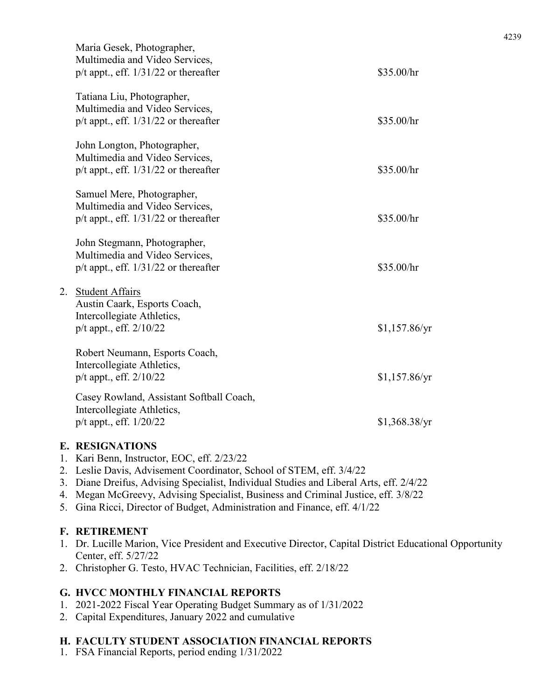|    | Maria Gesek, Photographer,<br>Multimedia and Video Services,<br>$p/t$ appt., eff. $1/31/22$ or thereafter           | \$35.00/hr      |
|----|---------------------------------------------------------------------------------------------------------------------|-----------------|
|    | Tatiana Liu, Photographer,<br>Multimedia and Video Services,<br>$p/t$ appt., eff. $1/31/22$ or thereafter           | \$35.00/hr      |
|    | John Longton, Photographer,<br>Multimedia and Video Services,<br>$p/t$ appt., eff. $1/31/22$ or thereafter          | \$35.00/hr      |
|    | Samuel Mere, Photographer,<br>Multimedia and Video Services,<br>$p/t$ appt., eff. $1/31/22$ or thereafter           | \$35.00/hr      |
|    | John Stegmann, Photographer,<br>Multimedia and Video Services,<br>$p/t$ appt., eff. $1/31/22$ or thereafter         | \$35.00/hr      |
| 2. | <b>Student Affairs</b><br>Austin Caark, Esports Coach,<br>Intercollegiate Athletics,<br>$p/t$ appt., eff. $2/10/22$ | $$1,157.86$ /yr |
|    | Robert Neumann, Esports Coach,<br>Intercollegiate Athletics,<br>$p/t$ appt., eff. $2/10/22$                         | $$1,157.86$ /yr |
|    | Casey Rowland, Assistant Softball Coach,<br>Intercollegiate Athletics,<br>p/t appt., eff. 1/20/22                   | $$1,368.38$ /yr |

#### **E. RESIGNATIONS**

- 1. Kari Benn, Instructor, EOC, eff. 2/23/22
- 2. Leslie Davis, Advisement Coordinator, School of STEM, eff. 3/4/22
- 3. Diane Dreifus, Advising Specialist, Individual Studies and Liberal Arts, eff. 2/4/22
- 4. Megan McGreevy, Advising Specialist, Business and Criminal Justice, eff. 3/8/22
- 5. Gina Ricci, Director of Budget, Administration and Finance, eff. 4/1/22

# **F. RETIREMENT**

- 1. Dr. Lucille Marion, Vice President and Executive Director, Capital District Educational Opportunity Center, eff. 5/27/22
- 2. Christopher G. Testo, HVAC Technician, Facilities, eff. 2/18/22

# **G. HVCC MONTHLY FINANCIAL REPORTS**

- 1. 2021-2022 Fiscal Year Operating Budget Summary as of 1/31/2022
- 2. Capital Expenditures, January 2022 and cumulative

# **H. FACULTY STUDENT ASSOCIATION FINANCIAL REPORTS**

1. FSA Financial Reports, period ending 1/31/2022